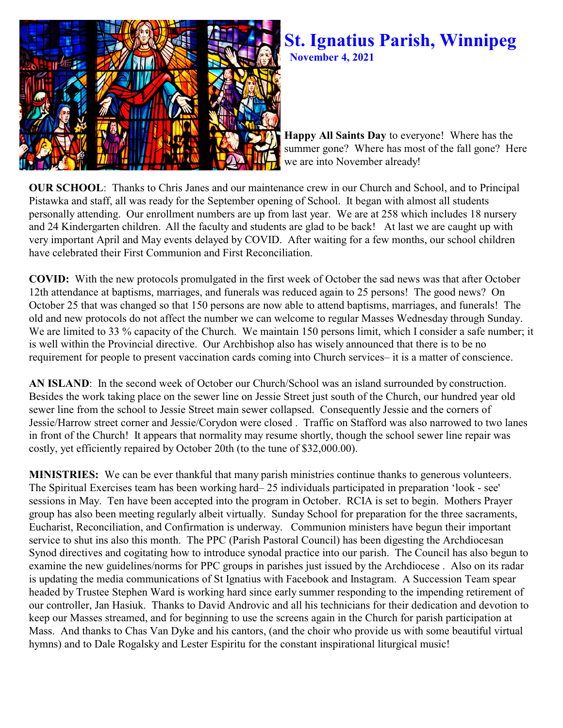

## **St. Ignatius Parish, Winnipeg November 4, 2021**

**Happy All Saints Day** to everyone! Where has the summer gone? Where has most of the fall gone? Here we are into November already!

**OUR SCHOOL:** Thanks to Chris Janes and our maintenance crew in our Church and School, and to Principal Pistawka and staff, all was ready for the September opening of School. It began with almost all students personally attending. Our enrollment numbers are up from last year. We are at 258 which includes 18 nursery and 24 Kindergarten children. All the faculty and students are glad to be back! At last we are caught up with very important April and May events delayed by COVID. After waiting for a few months, our school children have celebrated their First Communion and First Reconciliation.

**COVID:** With the new protocols promulgated in the first week of October the sad news was that after October 12th attendance at baptisms, marriages, and funerals was reduced again to 25 persons! The good news? On October 25 that was changed so that 150 persons are now able to attend baptisms, marriages, and funerals! The old and new protocols do not affect the number we can welcome to regular Masses Wednesday through Sunday. We are limited to 33 % capacity of the Church. We maintain 150 persons limit, which I consider a safe number; it is well within the Provincial directive. Our Archbishop also has wisely announced that there is to be no requirement for people to present vaccination cards coming into Church services– it is a matter of conscience.

**AN ISLAND**: In the second week of October our Church/School was an island surrounded by construction. Besides the work taking place on the sewer line on Jessie Street just south of the Church, our hundred year old sewer line from the school to Jessie Street main sewer collapsed. Consequently Jessie and the corners of Jessie/Harrow street corner and Jessie/Corydon were closed . Traffic on Stafford was also narrowed to two lanes in front of the Church! It appears that normality may resume shortly, though the school sewer line repair was costly, yet efficiently repaired by October 20th (to the tune of \$32,000.00).

**MINISTRIES:** We can be ever thankful that many parish ministries continue thanks to generous volunteers. The Spiritual Exercises team has been working hard– 25 individuals participated in preparation 'look - see' sessions in May. Ten have been accepted into the program in October. RCIA is set to begin. Mothers Prayer group has also been meeting regularly albeit virtually. Sunday School for preparation for the three sacraments, Eucharist, Reconciliation, and Confirmation is underway. Communion ministers have begun their important service to shut ins also this month. The PPC (Parish Pastoral Council) has been digesting the Archdiocesan Synod directives and cogitating how to introduce synodal practice into our parish. The Council has also begun to examine the new guidelines/norms for PPC groups in parishes just issued by the Archdiocese . Also on its radar is updating the media communications of St Ignatius with Facebook and Instagram. A Succession Team spear headed by Trustee Stephen Ward is working hard since early summer responding to the impending retirement of our controller, Jan Hasiuk. Thanks to David Androvic and all his technicians for their dedication and devotion to keep our Masses streamed, and for beginning to use the screens again in the Church for parish participation at Mass. And thanks to Chas Van Dyke and his cantors, (and the choir who provide us with some beautiful virtual hymns) and to Dale Rogalsky and Lester Espiritu for the constant inspirational liturgical music!